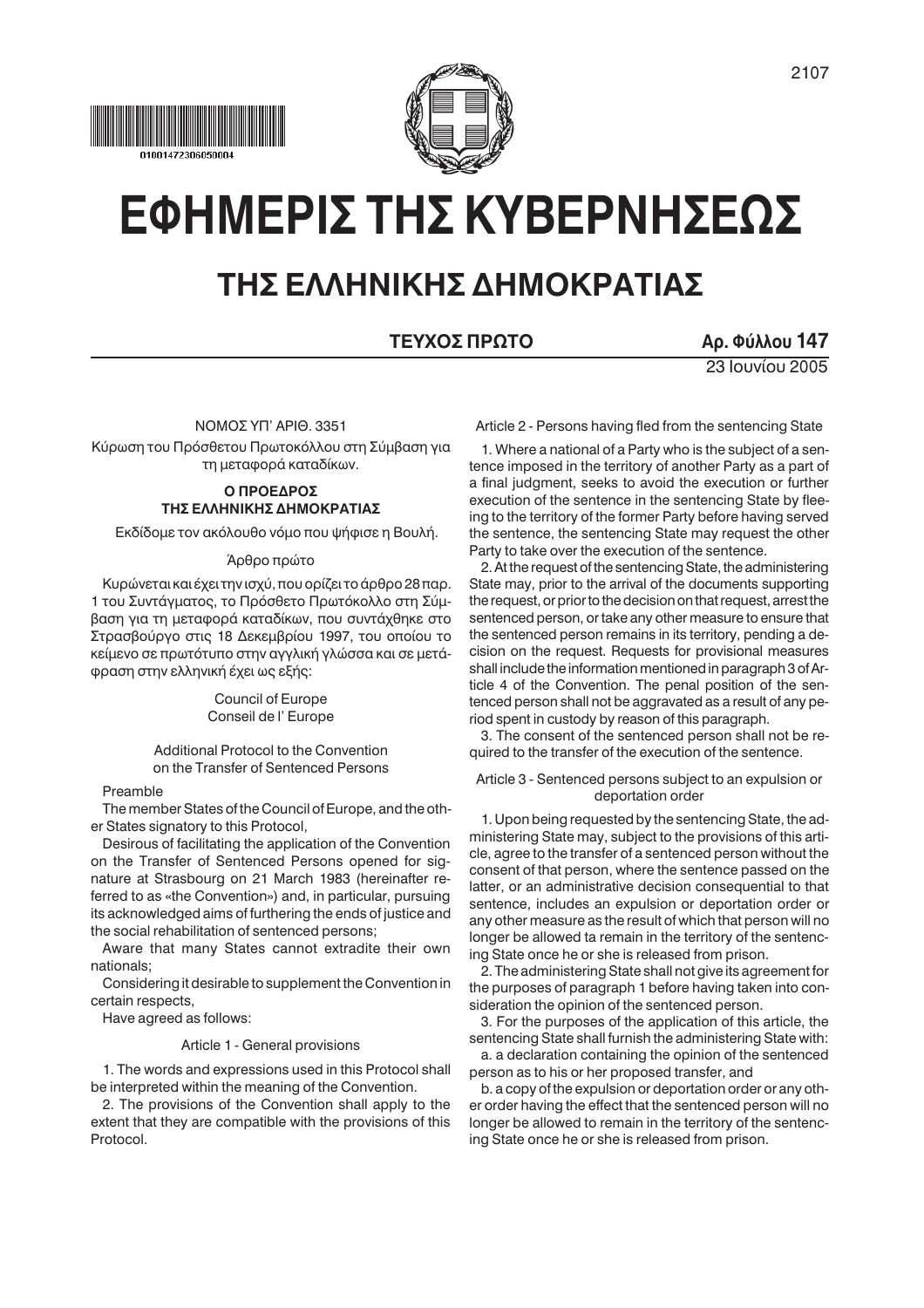



# ΕΦΗΜΕΡΙΣ ΤΗΣ ΚΥΒΕΡΝΗΣΕΩΣ

# ΤΗΣ ΕΛΛΗΝΙΚΗΣ ΔΗΜΟΚΡΑΤΙΑΣ

# ΤΕΥΧΟΣ ΠΡΩΤΟ

Αρ. Φύλλου 147

23 Ιουνίου 2005

ΝΟΜΟΣ ΥΠ' ΑΡΙΘ. 3351

Κύρωση του Πρόσθετου Πρωτοκόλλου στη Σύμβαση για τη μεταφορά καταδίκων.

# O ΠΡΟΕΛΡΟΣ ΤΗΣ ΕΛΛΗΝΙΚΗΣ ΔΗΜΟΚΡΑΤΙΑΣ

Εκδίδομε τον ακόλουθο νόμο που ψήφισε η Βουλή.

# Άρθρο πρώτο

Κυρώνεται και έχει την ισχύ, που ορίζει το άρθρο 28 παρ. 1 του Συντάγματος, το Πρόσθετο Πρωτόκολλο στη Σύμβαση για τη μεταφορά καταδίκων, που συντάχθηκε στο Στρασβούργο στις 18 Δεκεμβρίου 1997, του οποίου το κείμενο σε πρωτότυπο στην αγγλική γλώσσα και σε μετάφραση στην ελληνική έχει ως εξής:

> Council of Europe Conseil de l'Europe

Additional Protocol to the Convention on the Transfer of Sentenced Persons

# Preamble

The member States of the Council of Europe, and the other States signatory to this Protocol,

Desirous of facilitating the application of the Convention on the Transfer of Sentenced Persons opened for signature at Strasbourg on 21 March 1983 (hereinafter referred to as «the Convention») and, in particular, pursuing its acknowledged aims of furthering the ends of justice and the social rehabilitation of sentenced persons;

Aware that many States cannot extradite their own nationals:

Considering it desirable to supplement the Convention in certain respects,

Have agreed as follows:

# Article 1 - General provisions

1. The words and expressions used in this Protocol shall be interpreted within the meaning of the Convention.

2. The provisions of the Convention shall apply to the extent that they are compatible with the provisions of this Protocol

1. Where a national of a Party who is the subject of a sentence imposed in the territory of another Party as a part of a final judgment, seeks to avoid the execution or further execution of the sentence in the sentencing State by fleeing to the territory of the former Party before having served the sentence, the sentencing State may request the other Party to take over the execution of the sentence.

Article 2 - Persons having fled from the sentencing State

2. At the request of the sentencing State, the administering State may, prior to the arrival of the documents supporting the request, or prior to the decision on that request, arrest the sentenced person, or take any other measure to ensure that the sentenced person remains in its territory, pending a decision on the request. Requests for provisional measures shall include the information mentioned in paragraph 3 of Article 4 of the Convention. The penal position of the sentenced person shall not be aggravated as a result of any period spent in custody by reason of this paragraph.

3. The consent of the sentenced person shall not be required to the transfer of the execution of the sentence.

# Article 3 - Sentenced persons subject to an expulsion or deportation order

1. Upon being requested by the sentencing State, the administering State may, subject to the provisions of this article, agree to the transfer of a sentenced person without the consent of that person, where the sentence passed on the latter, or an administrative decision consequential to that sentence, includes an expulsion or deportation order or any other measure as the result of which that person will no longer be allowed ta remain in the territory of the sentencing State once he or she is released from prison.

2. The administering State shall not give its agreement for the purposes of paragraph 1 before having taken into consideration the opinion of the sentenced person.

3. For the purposes of the application of this article, the sentencing State shall furnish the administering State with:

a. a declaration containing the opinion of the sentenced person as to his or her proposed transfer, and

b. a copy of the expulsion or deportation order or any other order having the effect that the sentenced person will no longer be allowed to remain in the territory of the sentencing State once he or she is released from prison.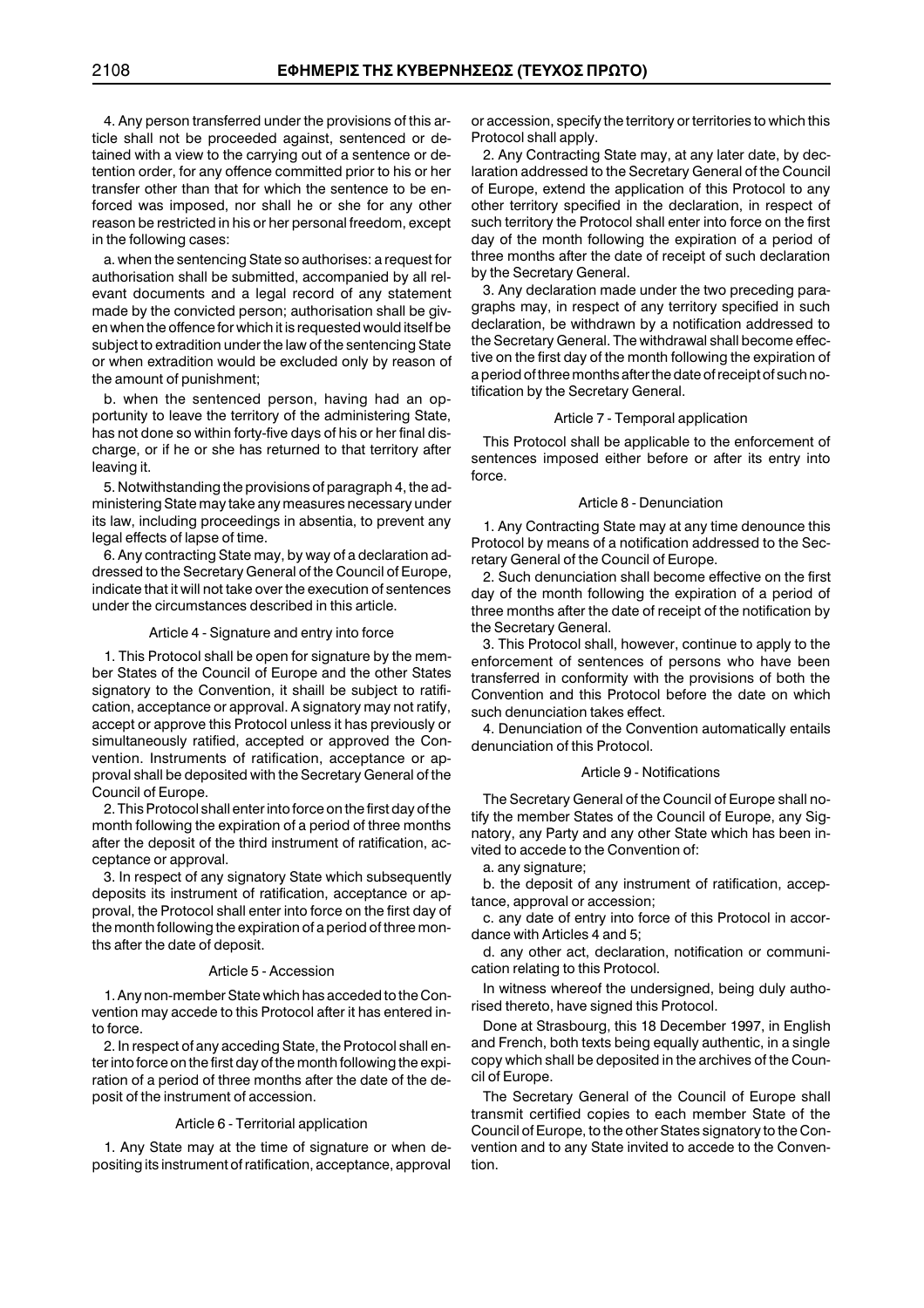4. Any person transferred under the provisions of this article shall not be proceeded against, sentenced or detained with a view to the carrying out of a sentence or detention order, for any offence committed prior to his or her transfer other than that for which the sentence to be enforced was imposed, nor shall he or she for any other reason be restricted in his or her personal freedom, except in the following cases:

a. when the sentencing State so authorises: a request for authorisation shall be submitted, accompanied by all relevant documents and a legal record of any statement made by the convicted person; authorisation shall be given when the offence for which it is requested would itself be subject to extradition under the law of the sentencing State or when extradition would be excluded only by reason of the amount of punishment;

b. when the sentenced person, having had an opportunity to leave the territory of the administering State, has not done so within forty-five days of his or her final discharge, or if he or she has returned to that territory after leaving it.

5. Notwithstanding the provisions of paragraph 4, the administering State may take any measures necessary under its law, including proceedings in absentia, to prevent any legal effects of lapse of time.

6. Any contracting State may, by way of a declaration addressed to the Secretary General of the Council of Europe, indicate that it will not take over the execution of sentences under the circumstances described in this article.

#### Article 4 - Signature and entry into force

1. This Protocol shall be open for signature by the member States of the Council of Europe and the other States signatory to the Convention, it shaill be subject to ratification, acceptance or approval. A signatory may not ratify, accept or approve this Protocol unless it has previously or simultaneously ratified, accepted or approved the Convention. Instruments of ratification, acceptance or approval shall be deposited with the Secretary General of the Council of Europe.

2. This Protocol shall enter into force on the first day of the month following the expiration of a period of three months after the deposit of the third instrument of ratification, acceptance or approval.

3. In respect of any signatory State which subsequently deposits its instrument of ratification, acceptance or approval, the Protocol shall enter into force on the first day of the month following the expiration of a period of three months after the date of deposit.

#### Article 5 - Accession

1. Any non-member State which has acceded to the Convention may accede to this Protocol after it has entered into force.

2. In respect of any acceding State, the Protocol shall enter into force on the first day of the month following the expiration of a period of three months after the date of the deposit of the instrument of accession.

#### Article 6 - Territorial application

1. Any State may at the time of signature or when depositing its instrument of ratification, acceptance, approval or accession, specify the territory or territories to which this Protocol shall apply.

2. Any Contracting State may, at any later date, by declaration addressed to the Secretary General of the Council of Europe, extend the application of this Protocol to any other territory specified in the declaration, in respect of such territory the Protocol shall enter into force on the first day of the month following the expiration of a period of three months after the date of receipt of such declaration by the Secretary General.

3. Any declaration made under the two preceding paragraphs may, in respect of any territory specified in such declaration, be withdrawn by a notification addressed to the Secretary General. The withdrawal shall become effective on the first day of the month following the expiration of a period of three months after the date of receipt of such notification by the Secretary General.

#### Article 7 - Temporal application

This Protocol shall be applicable to the enforcement of sentences imposed either before or after its entry into force.

#### Article 8 - Denunciation

1. Any Contracting State may at any time denounce this Protocol by means of a notification addressed to the Secretary General of the Council of Europe.

2. Such denunciation shall become effective on the first day of the month following the expiration of a period of three months after the date of receipt of the notification by the Secretary General.

3. This Protocol shall, however, continue to apply to the enforcement of sentences of persons who have been transferred in conformity with the provisions of both the Convention and this Protocol before the date on which such denunciation takes effect.

4. Denunciation of the Convention automatically entails denunciation of this Protocol.

# Article 9 - Notifications

The Secretary General of the Council of Europe shall notify the member States of the Council of Europe, any Signatory, any Party and any other State which has been invited to accede to the Convention of:

a. any signature;

b. the deposit of any instrument of ratification, acceptance, approval or accession;

c. any date of entry into force of this Protocol in accordance with Articles 4 and 5;

d. any other act, declaration, notification or communication relating to this Protocol.

In witness whereof the undersigned, being duly authorised thereto, have signed this Protocol.

Done at Strasbourg, this 18 December 1997, in English and French, both texts being equally authentic, in a single copy which shall be deposited in the archives of the Council of Europe.

The Secretary General of the Council of Europe shall transmit certified copies to each member State of the Council of Europe, to the other States signatory to the Convention and to any State invited to accede to the Convention.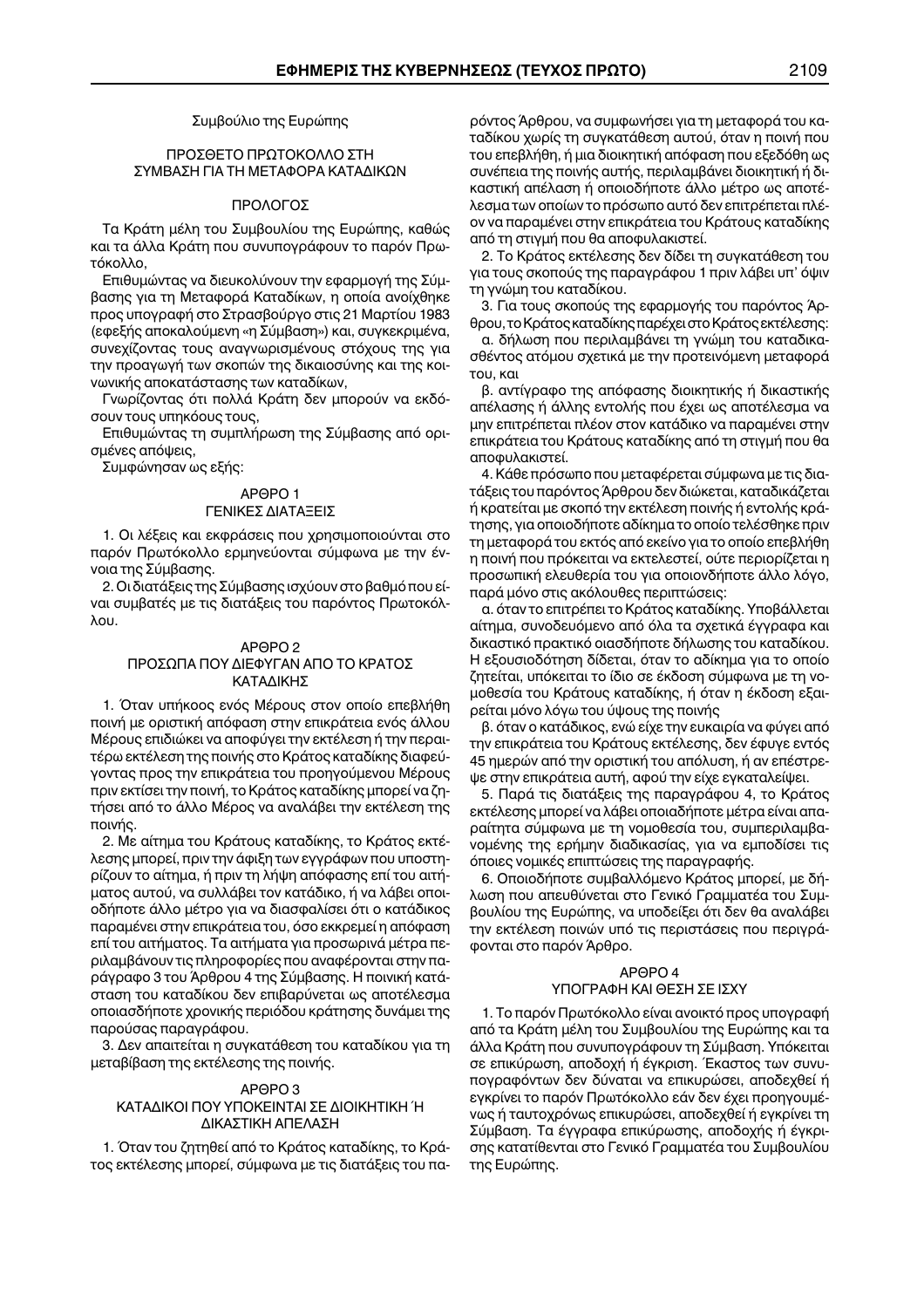# Συμβούλιο της Ευρώπης

# ΠΡΟΣΘΕΤΟ ΠΡΩΤΟΚΟΛΛΟ ΣΤΗ ΣΥΜΒΑΣΗ ΓΙΑ ΤΗ ΜΕΤΑΦΟΡΑ ΚΑΤΑΔΙΚΟΝ

## ΠΡΟΛΟΓΟΣ

Τα Κράτη μέλη του Συμβουλίου της Ευρώπης, καθώς και τα άλλα Κράτη που συνυπογράφουν το παρόν Πρωτόκολλο.

Επιθυμώντας να διευκολύνουν την εφαρμογή της Σύμβασης για τη Μεταφορά Καταδίκων, η οποία ανοίχθηκε προς υπογραφή στο Στρασβούργο στις 21 Μαρτίου 1983 (εφεξής αποκαλούμενη «η Σύμβαση») και, συγκεκριμένα, συνεχίζοντας τους αναγνωρισμένους στόχους της για την προαγωγή των σκοπών της δικαιοσύνης και της κοινωνικής αποκατάστασης των καταδίκων,

Γνωρίζοντας ότι πολλά Κράτη δεν μπορούν να εκδόσουν τους υπηκόους τους,

Επιθυμώντας τη συμπλήρωση της Σύμβασης από ορισμένες απόψεις,

Συμφώνησαν ως εξής:

# APAPO<sub>1</sub>

# ΓΕΝΙΚΕΣ ΔΙΑΤΑΞΕΙΣ

1. Οι λέξεις και εκφράσεις που χρησιμοποιούνται στο παρόν Πρωτόκολλο ερμηνεύονται σύμφωνα με την έννοια της Σύμβασης.

2. Οι διατάξεις της Σύμβασης ισχύουν στο βαθμό που είναι συμβατές με τις διατάξεις του παρόντος Πρωτοκόλ- $\lambda$  $\Omega$ 

# APOPO<sub>2</sub>

# ΠΡΟΣΩΠΑ ΠΟΥ ΔΙΕΦΥΓΑΝ ΑΠΟ ΤΟ ΚΡΑΤΟΣ ΚΑΤΑΛΙΚΗΣ

1. Όταν υπήκοος ενός Μέρους στον οποίο επεβλήθη ποινή με οριστική απόφαση στην επικράτεια ενός άλλου Μέρους επιδιώκει να αποφύγει την εκτέλεση ή την περαιτέρω εκτέλεση της ποινής στο Κράτος καταδίκης διαφεύγοντας προς την επικράτεια του προηγούμενου Μέρους πριν εκτίσει την ποινή, το Κράτος καταδίκης μπορεί να ζητήσει από το άλλο Μέρος να αναλάβει την εκτέλεση της ποινής.

2. Με αίτημα του Κράτους καταδίκης, το Κράτος εκτέλεσης μπορεί, πριν την άφιξη των εγγράφων που υποστηρίζουν το αίτημα, ή πριν τη λήψη απόφασης επί του αιτήματος αυτού, να συλλάβει τον κατάδικο, ή να λάβει οποιοδήποτε άλλο μέτρο για να διασφαλίσει ότι ο κατάδικος παραμένει στην επικράτεια του, όσο εκκρεμεί η απόφαση επί του αιτήματος. Τα αιτήματα για προσωρινά μέτρα περιλαμβάνουν τις πληροφορίες που αναφέρονται στην παράγραφο 3 του Άρθρου 4 της Σύμβασης. Η ποινική κατάσταση του καταδίκου δεν επιβαρύνεται ως αποτέλεσμα οποιασδήποτε χρονικής περιόδου κράτησης δυνάμει της παρούσας παραγράφου.

3. Δεν απαιτείται η συγκατάθεση του καταδίκου για τη μεταβίβαση της εκτέλεσης της ποινής.

# APAPO<sub>3</sub> ΚΑΤΑΔΙΚΟΙ ΠΟΥ ΥΠΟΚΕΙΝΤΑΙ ΣΕ ΔΙΟΙΚΗΤΙΚΗ Ή ΔΙΚΑΣΤΙΚΗ ΑΠΕΛΑΣΗ

1. Όταν του ζητηθεί από το Κράτος καταδίκης, το Κράτος εκτέλεσης μπορεί, σύμφωνα με τις διατάξεις του πα-

ρόντος Άρθρου, να συμφωνήσει για τη μεταφορά του καταδίκου χωρίς τη συγκατάθεση αυτού, όταν η ποινή που του επεβλήθη, ή μια διοικητική απόφαση που εξεδόθη ως συνέπεια της ποινής αυτής, περιλαμβάνει διοικητική ή δικαστική απέλαση ή οποιοδήποτε άλλο μέτρο ως αποτέλεσμα των οποίων το πρόσωπο αυτό δεν επιτρέπεται πλέον να παραμένει στην επικράτεια του Κράτους καταδίκης από τη στιγμή που θα αποφυλακιστεί.

2. Το Κράτος εκτέλεσης δεν δίδει τη συγκατάθεση του για τους σκοπούς της παραγράφου 1 πριν λάβει υπ' όψιν τη γνώμη του καταδίκου.

3. Για τους σκοπούς της εφαρμογής του παρόντος Άρθρου, το Κράτος καταδίκης παρέχει στο Κράτος εκτέλεσης:

α. δήλωση που περιλαμβάνει τη γνώμη του καταδικασθέντος ατόμου σχετικά με την προτεινόμενη μεταφορά του, και

β. αντίγραφο της απόφασης διοικητικής ή δικαστικής απέλασης ή άλλης εντολής που έχει ως αποτέλεσμα να μην επιτρέπεται πλέον στον κατάδικο να παραμένει στην επικράτεια του Κράτους καταδίκης από τη στιγμή που θα αποφυλακιστεί.

4. Κάθε πρόσωπο που μεταφέρεται σύμφωνα με τις διατάξεις του παρόντος Άρθρου δεν διώκεται, καταδικάζεται ή κρατείται με σκοπό την εκτέλεση ποινής ή εντολής κράτησης, για οποιοδήποτε αδίκημα το οποίο τελέσθηκε πριν τη μεταφορά του εκτός από εκείνο για το οποίο επεβλήθη η ποινή που πρόκειται να εκτελεστεί, ούτε περιορίζεται η προσωπική ελευθερία του για οποιονδήποτε άλλο λόγο, παρά μόνο στις ακόλουθες περιπτώσεις:

α. όταν το επιτρέπει το Κράτος καταδίκης. Υποβάλλεται αίτημα, συνοδευόμενο από όλα τα σχετικά έγγραφα και δικαστικό πρακτικό οιασδήποτε δήλωσης του καταδίκου. Η εξουσιοδότηση δίδεται, όταν το αδίκημα για το οποίο ζητείται, υπόκειται το ίδιο σε έκδοση σύμφωνα με τη νομοθεσία του Κράτους καταδίκης, ή όταν η έκδοση εξαιρείται μόνο λόγω του ύψους της ποινής

β. όταν ο κατάδικος, ενώ είχε την ευκαιρία να φύγει από την επικράτεια του Κράτους εκτέλεσης, δεν έφυγε εντός 45 ημερών από την οριστική του απόλυση, ή αν επέστρεψε στην επικράτεια αυτή, αφού την είχε εγκαταλείψει.

5. Παρά τις διατάξεις της παραγράφου 4, το Κράτος εκτέλεσης μπορεί να λάβει οποιαδήποτε μέτρα είναι απαραίτητα σύμφωνα με τη νομοθεσία του, συμπεριλαμβανομένης της ερήμην διαδικασίας, για να εμποδίσει τις όποιες νομικές επιπτώσεις της παραγραφής.

6. Οποιοδήποτε συμβαλλόμενο Κράτος μπορεί, με δήλωση που απευθύνεται στο Γενικό Γραμματέα του Συμβουλίου της Ευρώπης, να υποδείξει ότι δεν θα αναλάβει την εκτέλεση ποινών υπό τις περιστάσεις που περιγράφονται στο παρόν Άρθρο.

# APOPO<sub>4</sub> ΥΠΟΓΡΑΦΗ ΚΑΙ ΘΕΣΗ ΣΕ ΙΣΧΥ

1. Το παρόν Πρωτόκολλο είναι ανοικτό προς υπογραφή από τα Κράτη μέλη του Συμβουλίου της Ευρώπης και τα άλλα Κράτη που συνυπογράφουν τη Σύμβαση. Υπόκειται σε επικύρωση, αποδοχή ή έγκριση. Έκαστος των συνυπογραφόντων δεν δύναται να επικυρώσει, αποδεχθεί ή εγκρίνει το παρόν Πρωτόκολλο εάν δεν έχει προηγουμένως ή ταυτοχρόνως επικυρώσει, αποδεχθεί ή εγκρίνει τη Σύμβαση. Τα έγγραφα επικύρωσης, αποδοχής ή έγκρισης κατατίθενται στο Γενικό Γραμματέα του Συμβουλίου της Ευρώπης.